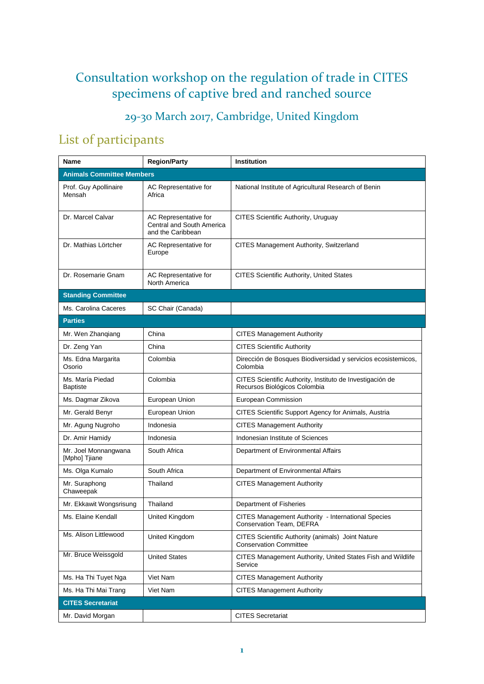## Consultation workshop on the regulation of trade in CITES specimens of captive bred and ranched source

29-30 March 2017, Cambridge, United Kingdom

## List of participants

| Name                                  | <b>Region/Party</b>                                                     | Institution                                                                               |  |
|---------------------------------------|-------------------------------------------------------------------------|-------------------------------------------------------------------------------------------|--|
| <b>Animals Committee Members</b>      |                                                                         |                                                                                           |  |
| Prof. Guy Apollinaire<br>Mensah       | AC Representative for<br>Africa                                         | National Institute of Agricultural Research of Benin                                      |  |
| Dr. Marcel Calvar                     | AC Representative for<br>Central and South America<br>and the Caribbean | CITES Scientific Authority, Uruguay                                                       |  |
| Dr. Mathias Lörtcher                  | AC Representative for<br>Europe                                         | <b>CITES Management Authority, Switzerland</b>                                            |  |
| Dr. Rosemarie Gnam                    | AC Representative for<br>North America                                  | <b>CITES Scientific Authority, United States</b>                                          |  |
| <b>Standing Committee</b>             |                                                                         |                                                                                           |  |
| Ms. Carolina Caceres                  | SC Chair (Canada)                                                       |                                                                                           |  |
| <b>Parties</b>                        |                                                                         |                                                                                           |  |
| Mr. Wen Zhanqiang                     | China                                                                   | <b>CITES Management Authority</b>                                                         |  |
| Dr. Zeng Yan                          | China                                                                   | <b>CITES Scientific Authority</b>                                                         |  |
| Ms. Edna Margarita<br>Osorio          | Colombia                                                                | Dirección de Bosques Biodiversidad y servicios ecosistemicos,<br>Colombia                 |  |
| Ms. María Piedad<br><b>Baptiste</b>   | Colombia                                                                | CITES Scientific Authority, Instituto de Investigación de<br>Recursos Biológicos Colombia |  |
| Ms. Dagmar Zikova                     | European Union                                                          | European Commission                                                                       |  |
| Mr. Gerald Benyr                      | European Union                                                          | CITES Scientific Support Agency for Animals, Austria                                      |  |
| Mr. Agung Nugroho                     | Indonesia                                                               | <b>CITES Management Authority</b>                                                         |  |
| Dr. Amir Hamidy                       | Indonesia                                                               | Indonesian Institute of Sciences                                                          |  |
| Mr. Joel Monnangwana<br>[Mpho] Tjiane | South Africa                                                            | Department of Environmental Affairs                                                       |  |
| Ms. Olga Kumalo                       | South Africa                                                            | Department of Environmental Affairs                                                       |  |
| Mr. Suraphong<br>Chaweepak            | Thailand                                                                | <b>CITES Management Authority</b>                                                         |  |
| Mr. Ekkawit Wongsrisung               | Thailand                                                                | Department of Fisheries                                                                   |  |
| Ms. Elaine Kendall                    | United Kingdom                                                          | <b>CITES Management Authority - International Species</b><br>Conservation Team, DEFRA     |  |
| Ms. Alison Littlewood                 | <b>United Kingdom</b>                                                   | CITES Scientific Authority (animals) Joint Nature<br><b>Conservation Committee</b>        |  |
| Mr. Bruce Weissgold                   | <b>United States</b>                                                    | CITES Management Authority, United States Fish and Wildlife<br>Service                    |  |
| Ms. Ha Thi Tuyet Nga                  | Viet Nam                                                                | <b>CITES Management Authority</b>                                                         |  |
| Ms. Ha Thi Mai Trang                  | Viet Nam                                                                | <b>CITES Management Authority</b>                                                         |  |
| <b>CITES Secretariat</b>              |                                                                         |                                                                                           |  |
| Mr. David Morgan                      |                                                                         | <b>CITES Secretariat</b>                                                                  |  |